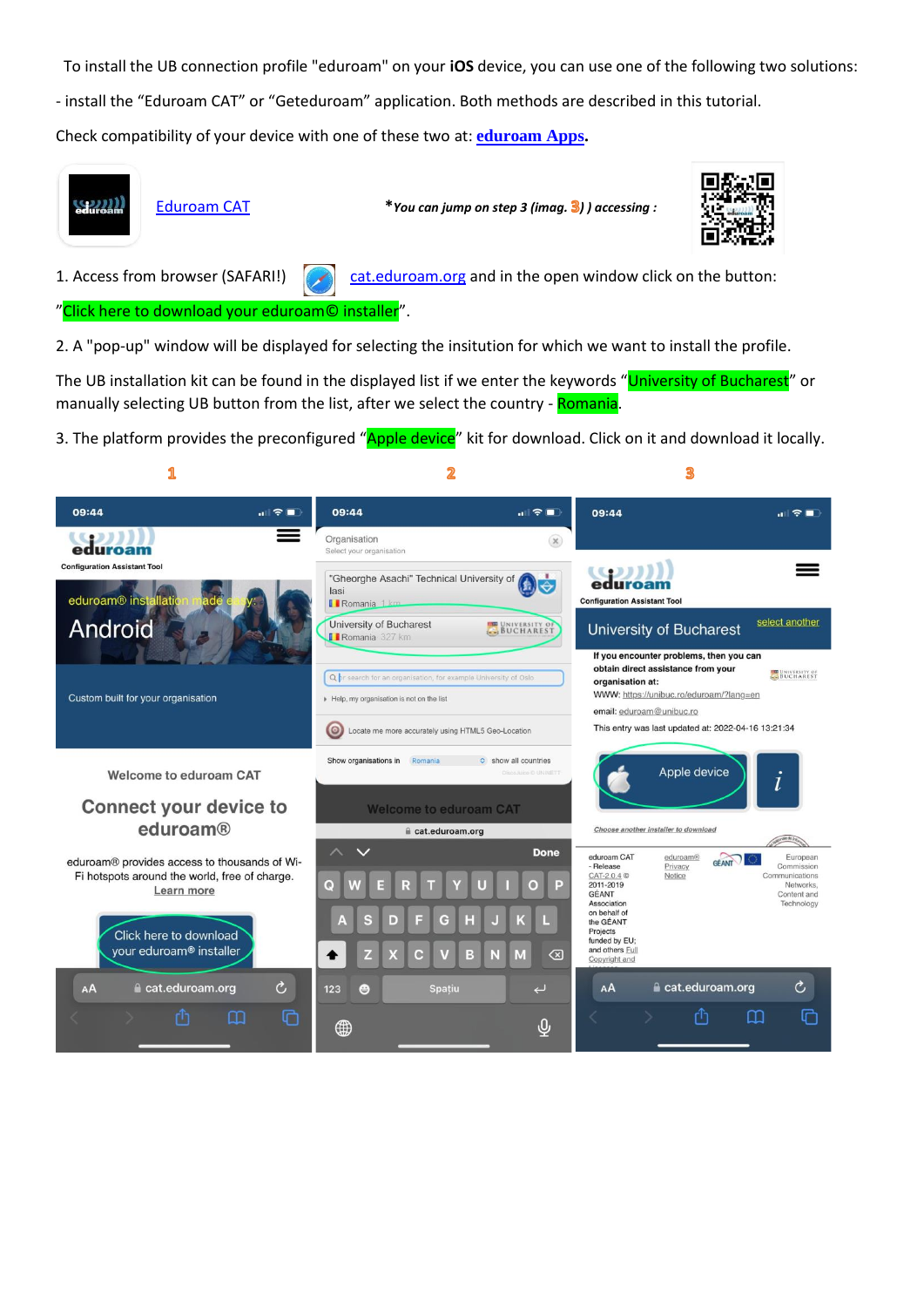To install the UB connection profile "eduroam" on your **iOS** device, you can use one of the following two solutions:

- install the "Eduroam CAT" or "Geteduroam" application. Both methods are described in this tutorial.

Check compatibility of your device with one of these two at: **[eduroam Apps.](https://wiki.geant.org/display/H2eduroam/eduroam+Apps)** 



"Click here to download your eduroam© installer".

2. A "pop-up" window will be displayed for selecting the insitution for which we want to install the profile.

The UB installation kit can be found in the displayed list if we enter the keywords "University of Bucharest" or manually selecting UB button from the list, after we select the country - Romania.

3. The platform provides the preconfigured "Apple device" kit for download. Click on it and download it locally.

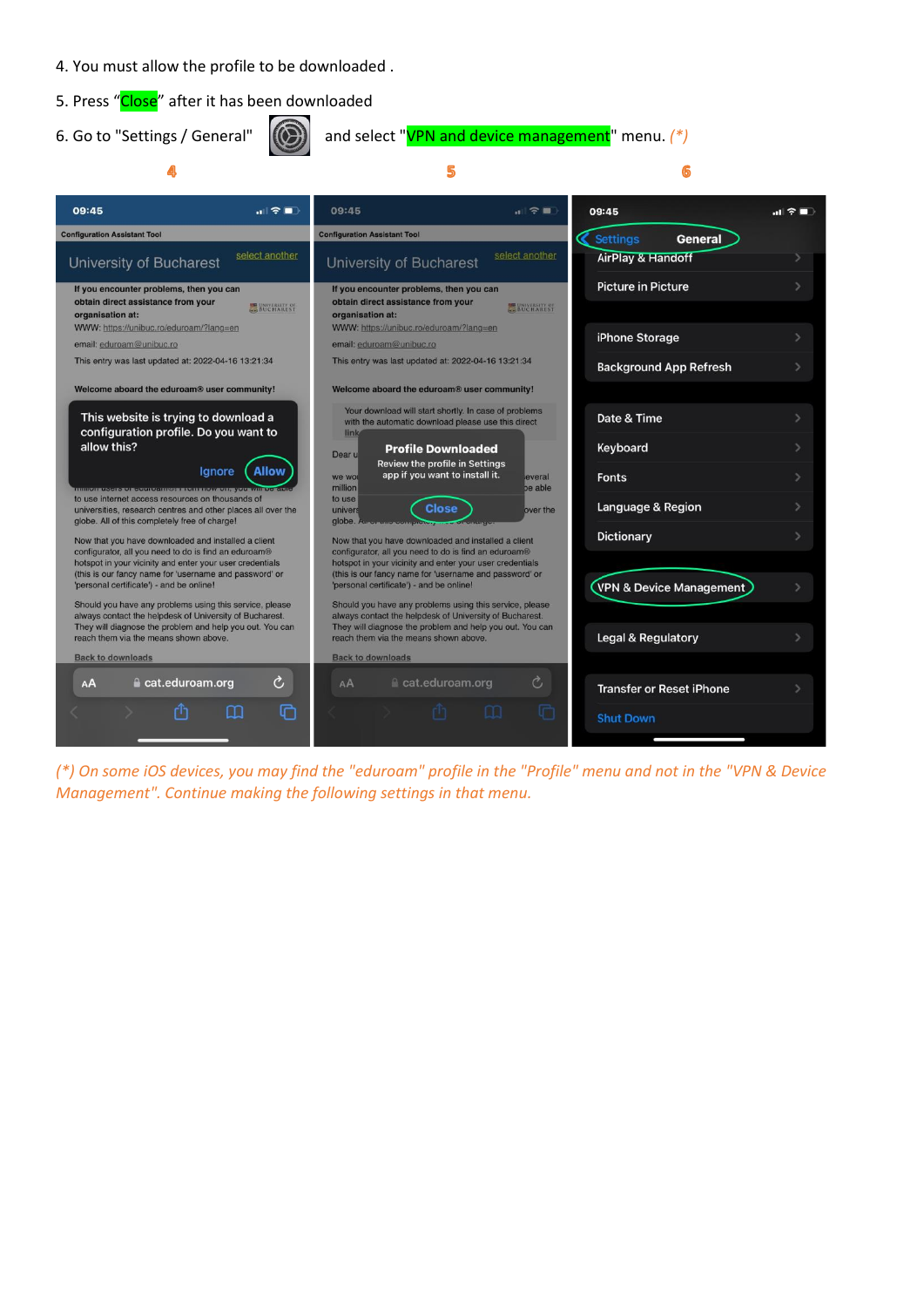- 4. You must allow the profile to be downloaded .
- 5. Press "Close" after it has been downloaded
- 

⋒

```
6. Go to "Settings / General" \left[\left(\bigodot\right)\right] and select "VPN and device management" menu. \left(\frac{1}{2}\right)
```
6

5



*(\*) On some iOS devices, you may find the "eduroam" profile in the "Profile" menu and not in the "VPN & Device Management". Continue making the following settings in that menu.*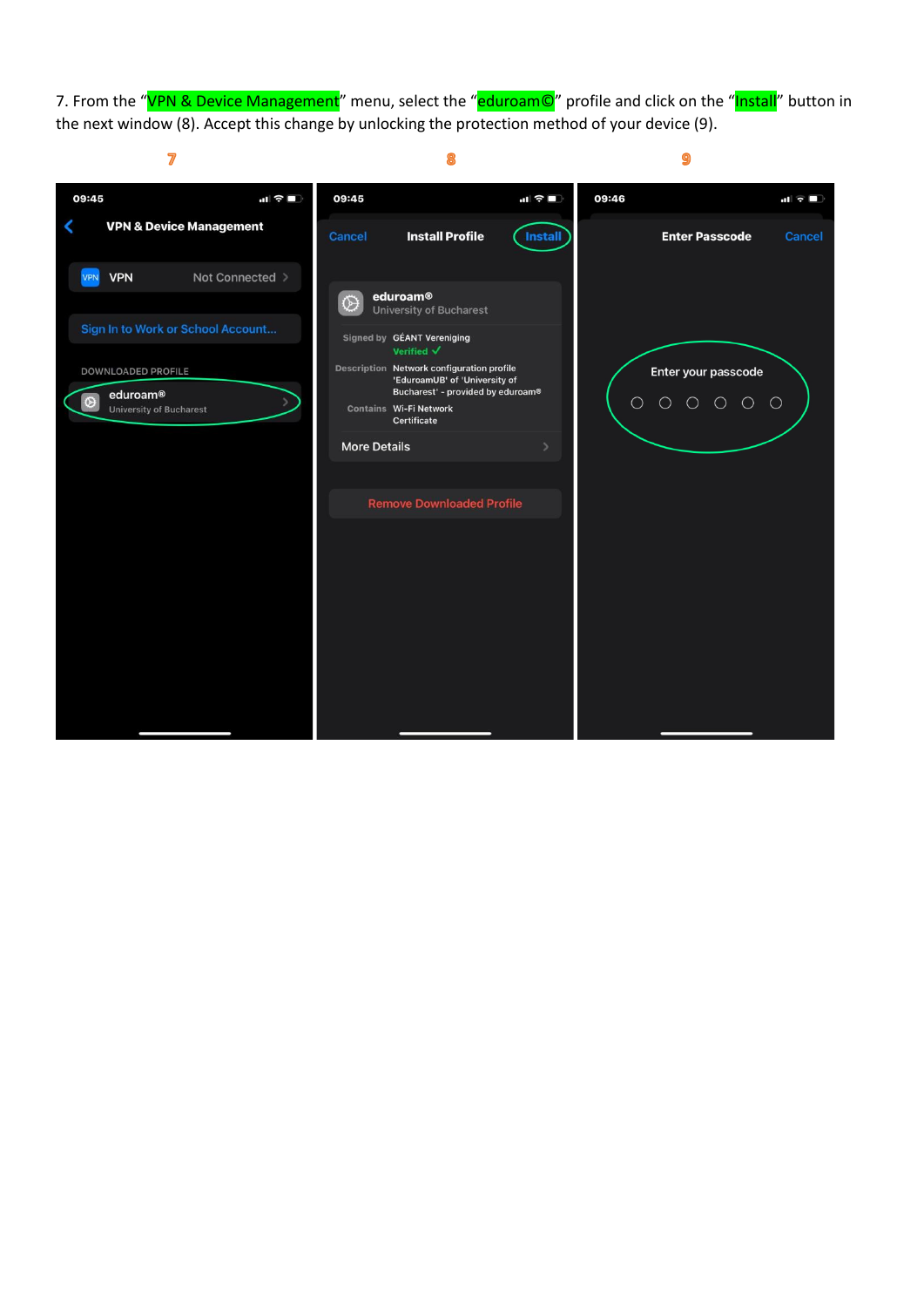7. From the "VPN & Device Management" menu, select the "eduroam©" profile and click on the "Install" button in the next window (8). Accept this change by unlocking the protection method of your device (9).

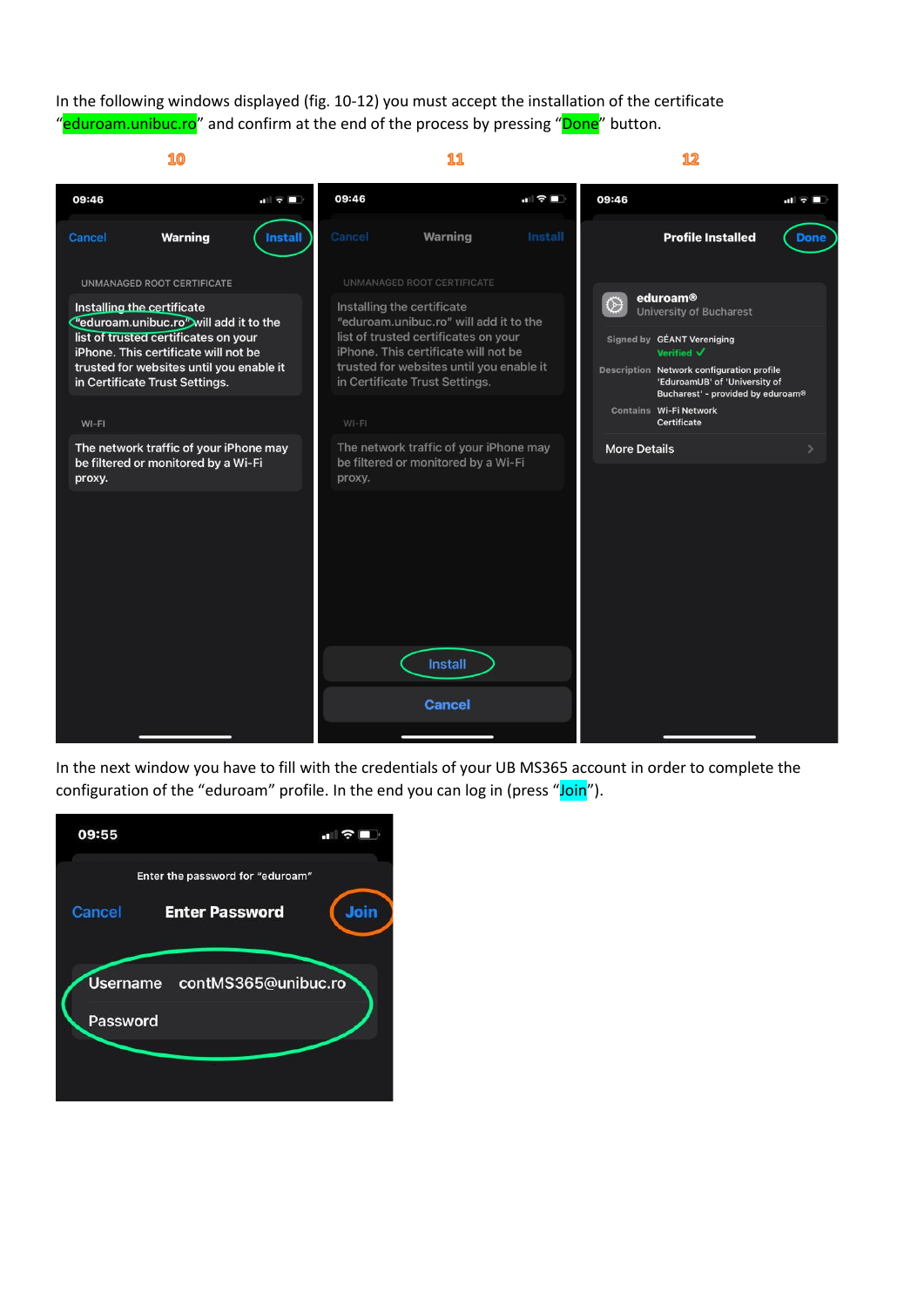In the following windows displayed (fig. 10-12) you must accept the installation of the certificate "eduroam.unibuc.ro" and confirm at the end of the process by pressing "Done" button.



In the next window you have to fill with the credentials of your UB MS365 account in order to complete the configuration of the "eduroam" profile. In the end you can log in (press "Join").